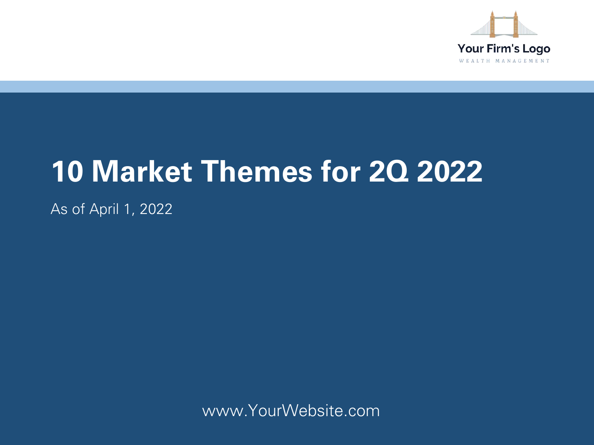

# **10 Market Themes for 2Q 2022**

As of April 1, 2022

www.YourWebsite.com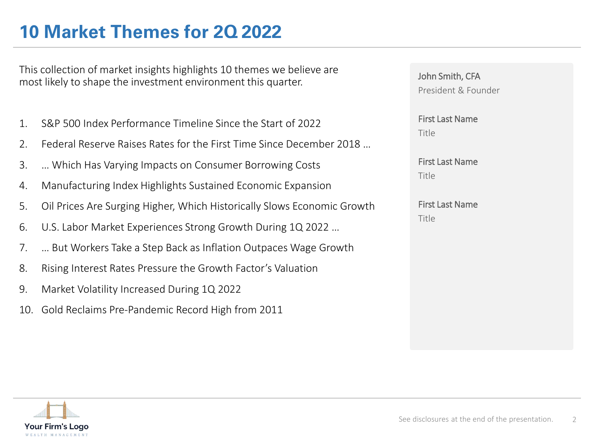# **10 Market Themes for 2Q 2022**

This collection of market insights highlights 10 themes we believe are most likely to shape the investment environment this quarter.

- 1. S&P 500 Index Performance Timeline Since the Start of 2022
- 2. Federal Reserve Raises Rates for the First Time Since December 2018 …
- 3. … Which Has Varying Impacts on Consumer Borrowing Costs
- 4. Manufacturing Index Highlights Sustained Economic Expansion
- 5. Oil Prices Are Surging Higher, Which Historically Slows Economic Growth
- 6. U.S. Labor Market Experiences Strong Growth During 1Q 2022 …
- 7. … But Workers Take a Step Back as Inflation Outpaces Wage Growth
- 8. Rising Interest Rates Pressure the Growth Factor's Valuation
- 9. Market Volatility Increased During 1Q 2022
- 10. Gold Reclaims Pre-Pandemic Record High from 2011

John Smith, CFA President & Founder

First Last Name Title

First Last Name Title

First Last Name Title

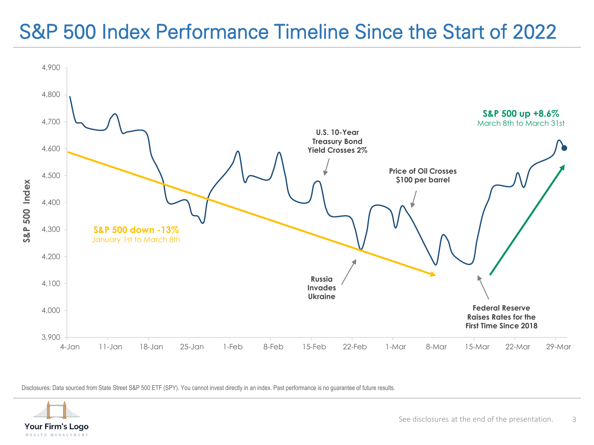# S&P 500 Index Performance Timeline Since the Start of 2022



Disclosures: Data sourced from State Street S&P 500 ETF (SPY). You cannot invest directly in an index. Past performance is no guarantee of future results.

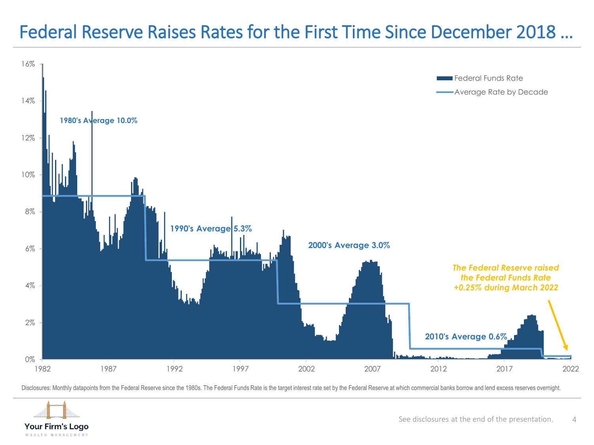#### Federal Reserve Raises Rates for the First Time Since December 2018 …



Disclosures: Monthly datapoints from the Federal Reserve since the 1980s. The Federal Funds Rate is the target interest rate set by the Federal Reserve at which commercial banks borrow and lend excess reserves overnight.

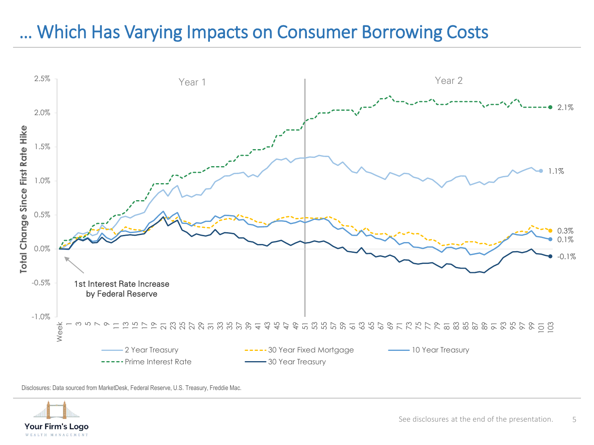#### … Which Has Varying Impacts on Consumer Borrowing Costs



Disclosures: Data sourced from MarketDesk, Federal Reserve, U.S. Treasury, Freddie Mac.

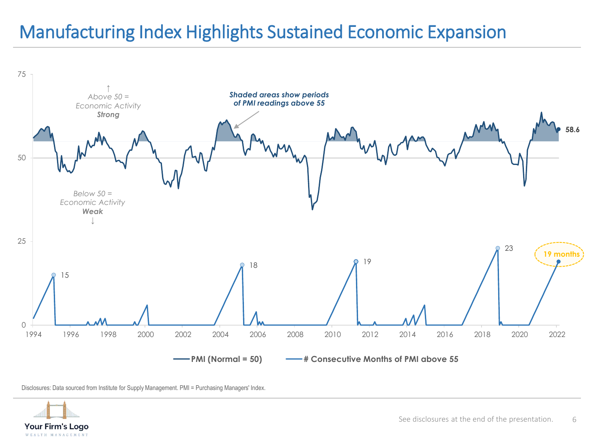# Manufacturing Index Highlights Sustained Economic Expansion



Disclosures: Data sourced from Institute for Supply Management. PMI = Purchasing Managers' Index.

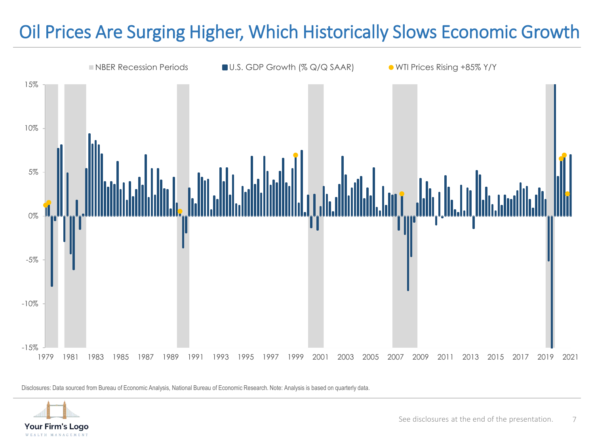# Oil Prices Are Surging Higher, Which Historically Slows Economic Growth



Disclosures: Data sourced from Bureau of Economic Analysis, National Bureau of Economic Research. Note: Analysis is based on quarterly data.

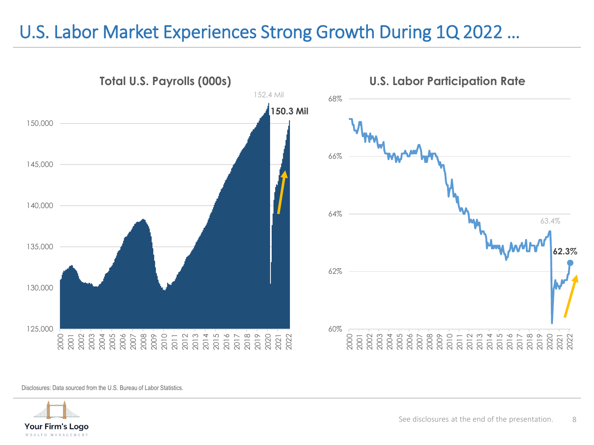#### U.S. Labor Market Experiences Strong Growth During 1Q 2022 …



Disclosures: Data sourced from the U.S. Bureau of Labor Statistics.

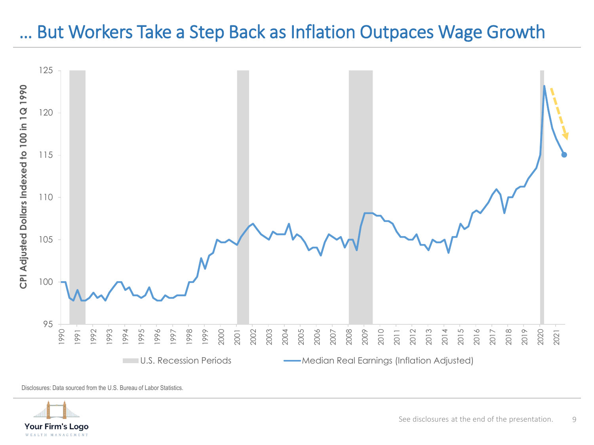#### … But Workers Take a Step Back as Inflation Outpaces Wage Growth



Disclosures: Data sourced from the U.S. Bureau of Labor Statistics.

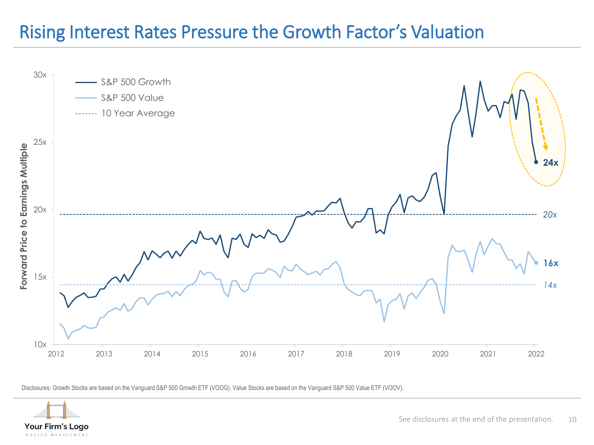#### Rising Interest Rates Pressure the Growth Factor's Valuation



Disclosures: Growth Stocks are based on the Vanguard S&P 500 Growth ETF (VOOG). Value Stocks are based on the Vanguard S&P 500 Value ETF (VOOV).

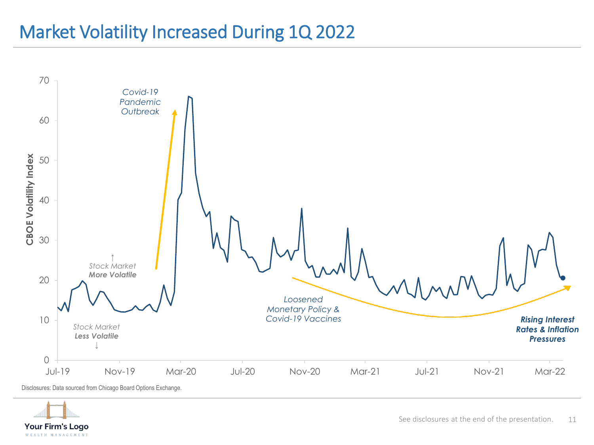#### Market Volatility Increased During 1Q 2022



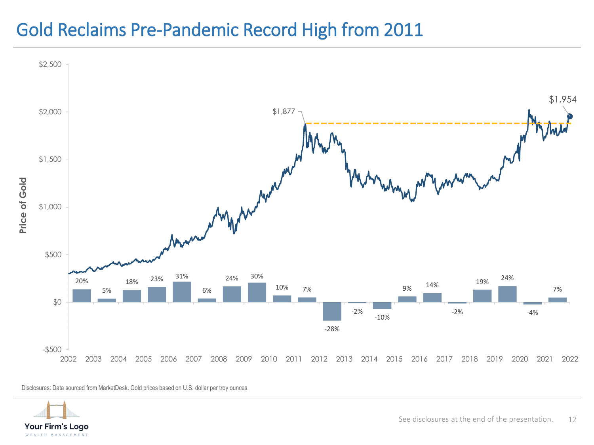#### Gold Reclaims Pre-Pandemic Record High from 2011



Disclosures: Data sourced from MarketDesk. Gold prices based on U.S. dollar per troy ounces.

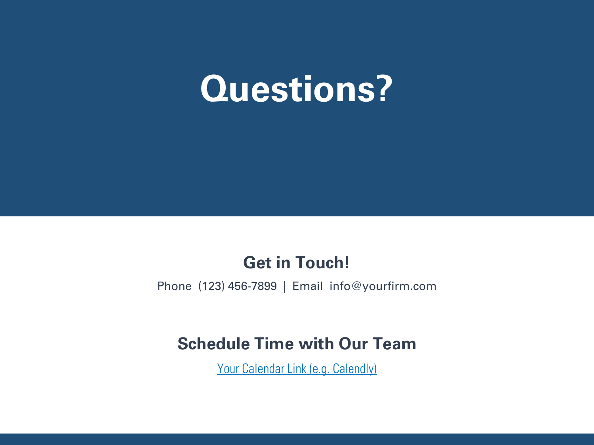#### Inflation: A general rise in price level relative to available goods and services. Producer Price Index (PPI): Measures the average changes in prices received by domestic producers for their output. Real Yield: Calculated as the Nominal Yield minus CPI rate. **Questions?**

#### **Get in Touch!**

Phone (123) 456-7899 | Email info@yourfirm.com

#### **Schedule Time with Our Team**

Your Calendar Link (e.g. Calendly)

presentation.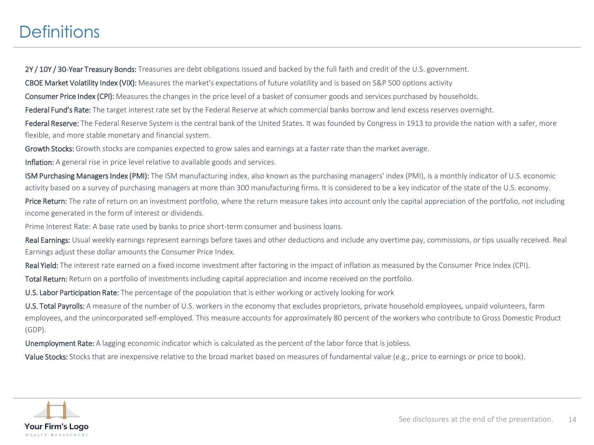#### **Definitions**

2Y / 10Y / 30-Year Treasury Bonds: Treasuries are debt obligations issued and backed by the full faith and credit of the U.S. government.

CBOE Market Volatility Index (VIX): Measures the market's expectations of future volatility and is based on S&P 500 options activity

Consumer Price Index (CPI): Measures the changes in the price level of a basket of consumer goods and services purchased by households.

Federal Fund's Rate: The target interest rate set by the Federal Reserve at which commercial banks borrow and lend excess reserves overnight.

Federal Reserve: The Federal Reserve System is the central bank of the United States. It was founded by Congress in 1913 to provide the nation with a safer, more flexible, and more stable monetary and financial system.

Growth Stocks: Growth stocks are companies expected to grow sales and earnings at a faster rate than the market average.

Inflation: A general rise in price level relative to available goods and services.

ISM Purchasing Managers Index (PMI): The ISM manufacturing index, also known as the purchasing managers' index (PMI), is a monthly indicator of U.S. economic activity based on a survey of purchasing managers at more than 300 manufacturing firms. It is considered to be a key indicator of the state of the U.S. economy.

Price Return: The rate of return on an investment portfolio, where the return measure takes into account only the capital appreciation of the portfolio, not including income generated in the form of interest or dividends.

Prime Interest Rate: A base rate used by banks to price short-term consumer and business loans.

Real Earnings: Usual weekly earnings represent earnings before taxes and other deductions and include any overtime pay, commissions, or tips usually received. Real Earnings adjust these dollar amounts the Consumer Price Index.

Real Yield: The interest rate earned on a fixed income investment after factoring in the impact of inflation as measured by the Consumer Price Index (CPI).

Total Return: Return on a portfolio of investments including capital appreciation and income received on the portfolio.

U.S. Labor Participation Rate: The percentage of the population that is either working or actively looking for work

U.S. Total Payrolls: A measure of the number of U.S. workers in the economy that excludes proprietors, private household employees, unpaid volunteers, farm employees, and the unincorporated self-employed. This measure accounts for approximately 80 percent of the workers who contribute to Gross Domestic Product (GDP).

Unemployment Rate: A lagging economic indicator which is calculated as the percent of the labor force that is jobless.

Value Stocks: Stocks that are inexpensive relative to the broad market based on measures of fundamental value (e.g., price to earnings or price to book).